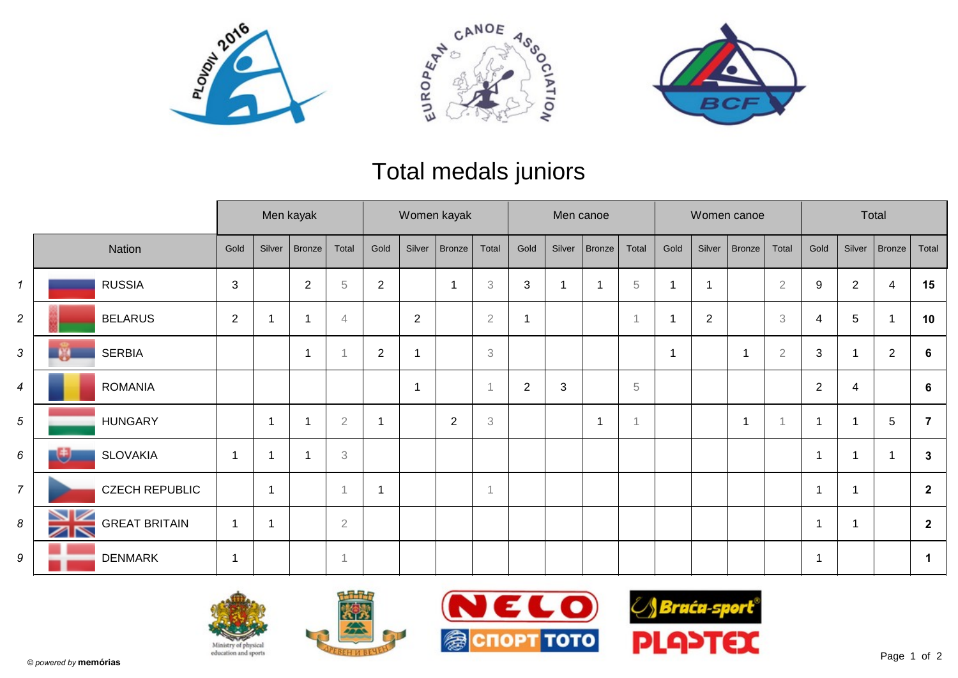





## Total medals juniors

|                |                                  |                          |                | Men kayak     |                           | Women kayak    |                |                |                           | Men canoe      |              |               |                |      |                | Women canoe |                           | Total          |                |                 |                |
|----------------|----------------------------------|--------------------------|----------------|---------------|---------------------------|----------------|----------------|----------------|---------------------------|----------------|--------------|---------------|----------------|------|----------------|-------------|---------------------------|----------------|----------------|-----------------|----------------|
|                | Nation                           | Gold                     | Silver         | <b>Bronze</b> | Total                     | Gold           | Silver         | Bronze         | Total                     | Gold           | Silver       | <b>Bronze</b> | Total          | Gold | Silver         | Bronze      | Total                     | Gold           | Silver         | Bronze          | Total          |
| $\mathbf{1}$   | <b>RUSSIA</b>                    | 3                        |                | 2             | $\mathbf 5$               | $\overline{2}$ |                | 1              | $\ensuremath{\mathbf{3}}$ | 3              | $\mathbf 1$  |               | $\,$ 5         |      |                |             | $\overline{2}$            | $9\,$          | $\overline{c}$ | 4               | 15             |
| 2              | <b>BELARUS</b>                   | $\overline{2}$           |                |               | $\overline{4}$            |                | $\overline{2}$ |                | $\sqrt{2}$                | -1             |              |               | $\overline{1}$ |      | $\overline{2}$ |             | $\ensuremath{\mathbf{3}}$ | $\overline{4}$ | 5              |                 | 10             |
| 3              | <b>SERBIA</b>                    |                          |                | -1            |                           | $\overline{2}$ |                |                | $\mathfrak{Z}$            |                |              |               |                | -1   |                | 1           | $\sqrt{2}$                | 3              |                | $\overline{2}$  | 6              |
| 4              | <b>ROMANIA</b>                   |                          |                |               |                           |                | $\overline{1}$ |                | $\overline{A}$            | $\overline{2}$ | $\mathbf{3}$ |               | 5              |      |                |             |                           | $\overline{2}$ | 4              |                 | 6              |
| 5              | <b>HUNGARY</b>                   |                          | -1             |               | $\sqrt{2}$                |                |                | $\overline{2}$ | 3                         |                |              |               | $\overline{1}$ |      |                | 1           |                           | $\overline{1}$ |                | $5\phantom{.0}$ |                |
| 6              | <b>SLOVAKIA</b>                  | 1                        | -1             |               | $\ensuremath{\mathbf{3}}$ |                |                |                |                           |                |              |               |                |      |                |             |                           | 1              |                |                 | 3              |
| $\overline{7}$ | <b>CZECH REPUBLIC</b>            |                          | $\overline{1}$ |               |                           | $\mathbf{1}$   |                |                | $\overline{1}$            |                |              |               |                |      |                |             |                           | $\overline{1}$ | 1              |                 | $\overline{2}$ |
| 8              | NZ<br><b>GREAT BRITAIN</b><br>ZN | 1                        | -1             |               | $\sqrt{2}$                |                |                |                |                           |                |              |               |                |      |                |             |                           | $\overline{1}$ |                |                 | $\overline{2}$ |
| 9              | <b>DENMARK</b>                   | $\overline{\phantom{a}}$ |                |               |                           |                |                |                |                           |                |              |               |                |      |                |             |                           | 1              |                |                 |                |